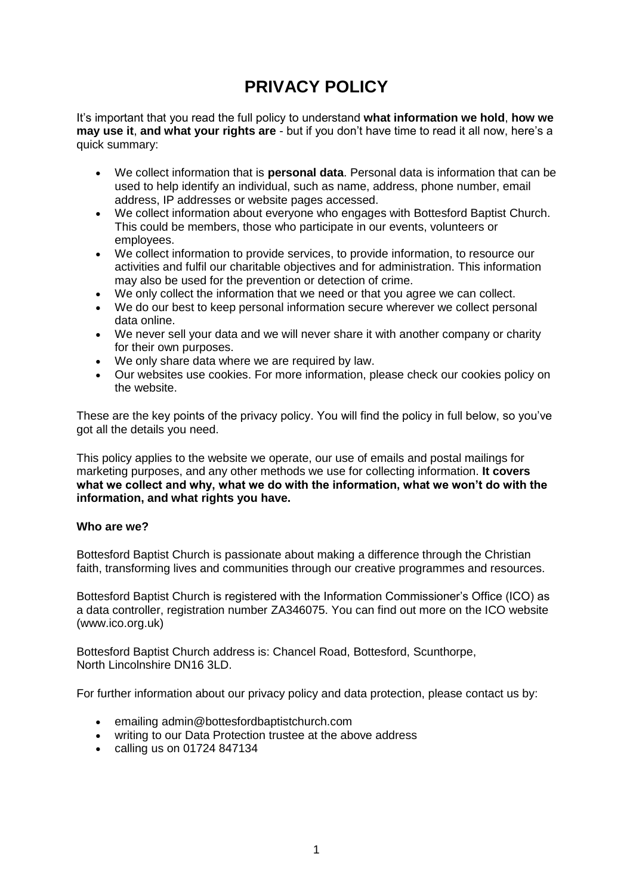# **PRIVACY POLICY**

It's important that you read the full policy to understand **what information we hold**, **how we may use it**, **and what your rights are** - but if you don't have time to read it all now, here's a quick summary:

- We collect information that is **personal data**. Personal data is information that can be used to help identify an individual, such as name, address, phone number, email address, IP addresses or website pages accessed.
- We collect information about everyone who engages with Bottesford Baptist Church. This could be members, those who participate in our events, volunteers or employees.
- We collect information to provide services, to provide information, to resource our activities and fulfil our charitable objectives and for administration. This information may also be used for the prevention or detection of crime.
- We only collect the information that we need or that you agree we can collect.
- We do our best to keep personal information secure wherever we collect personal data online.
- We never sell your data and we will never share it with another company or charity for their own purposes.
- We only share data where we are required by law.
- Our websites use cookies. For more information, please check our cookies policy on the website.

These are the key points of the privacy policy. You will find the policy in full below, so you've got all the details you need.

This policy applies to the website we operate, our use of emails and postal mailings for marketing purposes, and any other methods we use for collecting information. **It covers what we collect and why, what we do with the information, what we won't do with the information, and what rights you have.**

# **Who are we?**

Bottesford Baptist Church is passionate about making a difference through the Christian faith, transforming lives and communities through our creative programmes and resources.

Bottesford Baptist Church is registered with the Information Commissioner's Office (ICO) as a data controller, registration number ZA346075. You can find out more on the ICO website (www.ico.org.uk)

Bottesford Baptist Church address is: Chancel Road, Bottesford, Scunthorpe, North Lincolnshire DN16 3LD.

For further information about our privacy policy and data protection, please contact us by:

- emailing admin@bottesfordbaptistchurch.com
- writing to our Data Protection trustee at the above address
- calling us on 01724 847134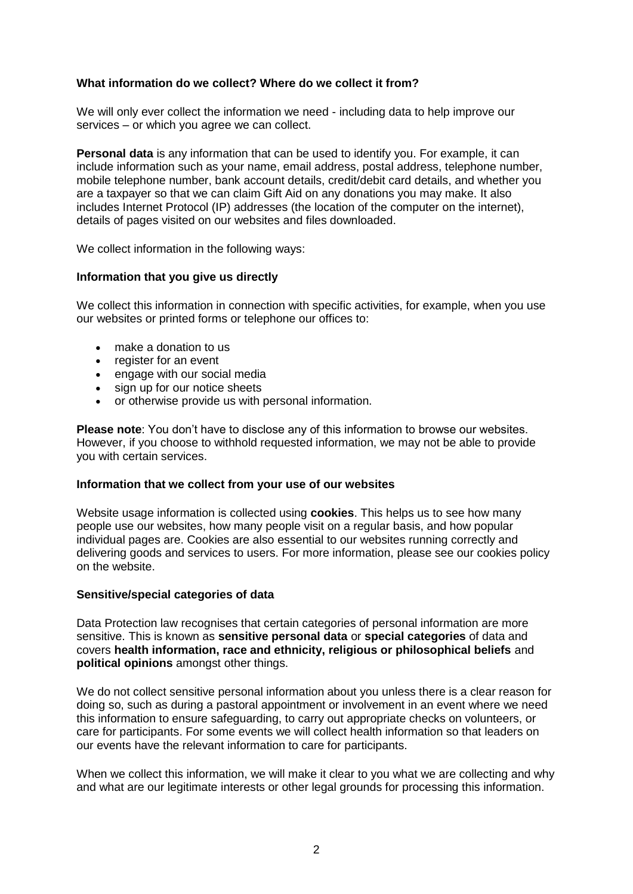# **What information do we collect? Where do we collect it from?**

We will only ever collect the information we need - including data to help improve our services – or which you agree we can collect.

**Personal data** is any information that can be used to identify you. For example, it can include information such as your name, email address, postal address, telephone number, mobile telephone number, bank account details, credit/debit card details, and whether you are a taxpayer so that we can claim Gift Aid on any donations you may make. It also includes Internet Protocol (IP) addresses (the location of the computer on the internet), details of pages visited on our websites and files downloaded.

We collect information in the following ways:

#### **Information that you give us directly**

We collect this information in connection with specific activities, for example, when you use our websites or printed forms or telephone our offices to:

- make a donation to us
- register for an event
- engage with our social media
- sign up for our notice sheets
- or otherwise provide us with personal information.

**Please note**: You don't have to disclose any of this information to browse our websites. However, if you choose to withhold requested information, we may not be able to provide you with certain services.

#### **Information that we collect from your use of our websites**

Website usage information is collected using **cookies**. This helps us to see how many people use our websites, how many people visit on a regular basis, and how popular individual pages are. Cookies are also essential to our websites running correctly and delivering goods and services to users. For more information, please see our cookies policy on the website.

#### **Sensitive/special categories of data**

Data Protection law recognises that certain categories of personal information are more sensitive. This is known as **sensitive personal data** or **special categories** of data and covers **health information, race and ethnicity, religious or philosophical beliefs** and **political opinions** amongst other things.

We do not collect sensitive personal information about you unless there is a clear reason for doing so, such as during a pastoral appointment or involvement in an event where we need this information to ensure safeguarding, to carry out appropriate checks on volunteers, or care for participants. For some events we will collect health information so that leaders on our events have the relevant information to care for participants.

When we collect this information, we will make it clear to you what we are collecting and why and what are our legitimate interests or other legal grounds for processing this information.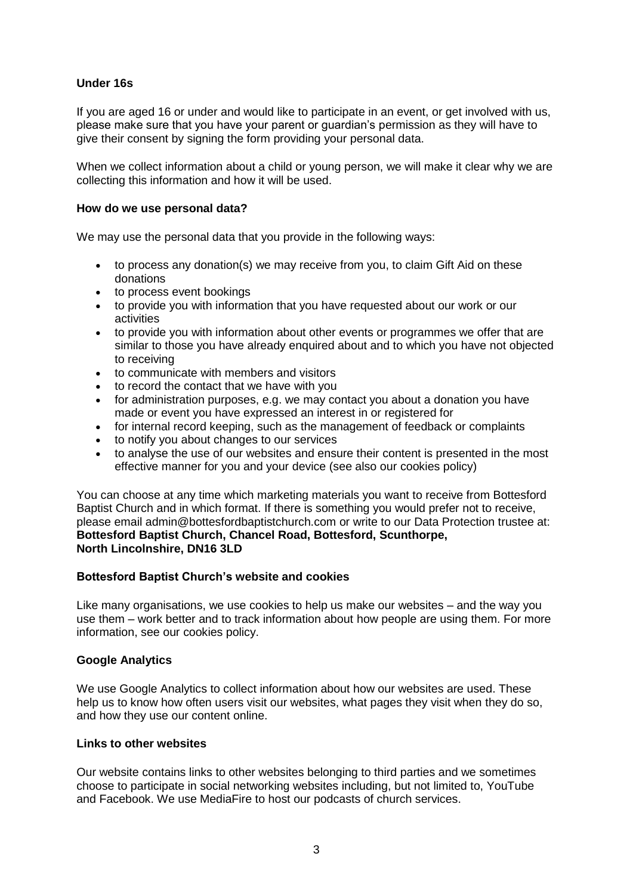# **Under 16s**

If you are aged 16 or under and would like to participate in an event, or get involved with us, please make sure that you have your parent or guardian's permission as they will have to give their consent by signing the form providing your personal data.

When we collect information about a child or young person, we will make it clear why we are collecting this information and how it will be used.

### **How do we use personal data?**

We may use the personal data that you provide in the following ways:

- to process any donation(s) we may receive from you, to claim Gift Aid on these donations
- to process event bookings
- to provide you with information that you have requested about our work or our activities
- to provide you with information about other events or programmes we offer that are similar to those you have already enquired about and to which you have not objected to receiving
- to communicate with members and visitors
- to record the contact that we have with you
- for administration purposes, e.g. we may contact you about a donation you have made or event you have expressed an interest in or registered for
- for internal record keeping, such as the management of feedback or complaints
- to notify you about changes to our services
- to analyse the use of our websites and ensure their content is presented in the most effective manner for you and your device (see also our cookies policy)

You can choose at any time which marketing materials you want to receive from Bottesford Baptist Church and in which format. If there is something you would prefer not to receive, please email admin@bottesfordbaptistchurch.com or write to our Data Protection trustee at: **Bottesford Baptist Church, Chancel Road, Bottesford, Scunthorpe, North Lincolnshire, DN16 3LD**

# **Bottesford Baptist Church's website and cookies**

Like many organisations, we use cookies to help us make our websites – and the way you use them – work better and to track information about how people are using them. For more information, see our cookies policy.

# **Google Analytics**

We use Google Analytics to collect information about how our websites are used. These help us to know how often users visit our websites, what pages they visit when they do so, and how they use our content online.

# **Links to other websites**

Our website contains links to other websites belonging to third parties and we sometimes choose to participate in social networking websites including, but not limited to, YouTube and Facebook. We use MediaFire to host our podcasts of church services.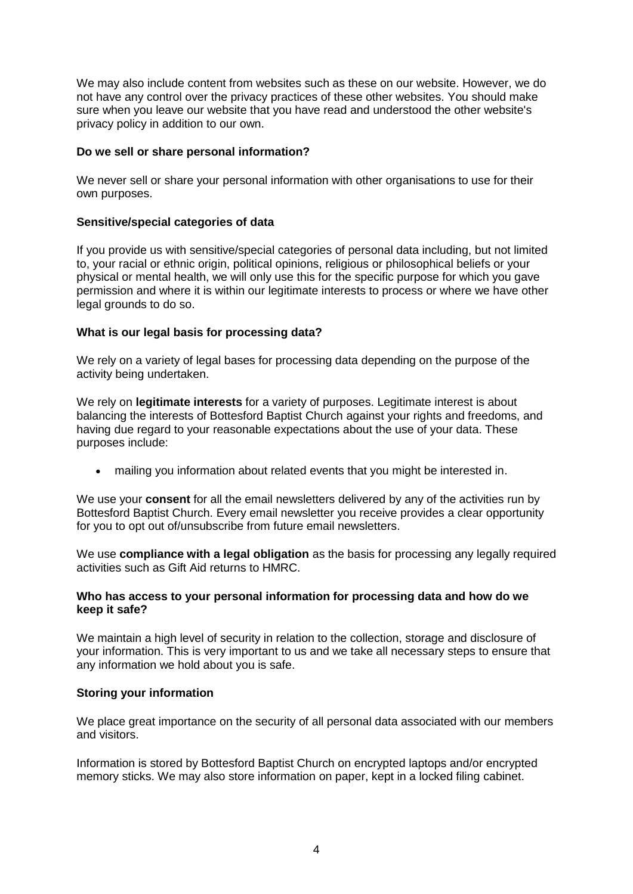We may also include content from websites such as these on our website. However, we do not have any control over the privacy practices of these other websites. You should make sure when you leave our website that you have read and understood the other website's privacy policy in addition to our own.

# **Do we sell or share personal information?**

We never sell or share your personal information with other organisations to use for their own purposes.

## **Sensitive/special categories of data**

If you provide us with sensitive/special categories of personal data including, but not limited to, your racial or ethnic origin, political opinions, religious or philosophical beliefs or your physical or mental health, we will only use this for the specific purpose for which you gave permission and where it is within our legitimate interests to process or where we have other legal grounds to do so.

### **What is our legal basis for processing data?**

We rely on a variety of legal bases for processing data depending on the purpose of the activity being undertaken.

We rely on **legitimate interests** for a variety of purposes. Legitimate interest is about balancing the interests of Bottesford Baptist Church against your rights and freedoms, and having due regard to your reasonable expectations about the use of your data. These purposes include:

• mailing you information about related events that you might be interested in.

We use your **consent** for all the email newsletters delivered by any of the activities run by Bottesford Baptist Church. Every email newsletter you receive provides a clear opportunity for you to opt out of/unsubscribe from future email newsletters.

We use **compliance with a legal obligation** as the basis for processing any legally required activities such as Gift Aid returns to HMRC.

### **Who has access to your personal information for processing data and how do we keep it safe?**

We maintain a high level of security in relation to the collection, storage and disclosure of your information. This is very important to us and we take all necessary steps to ensure that any information we hold about you is safe.

# **Storing your information**

We place great importance on the security of all personal data associated with our members and visitors.

Information is stored by Bottesford Baptist Church on encrypted laptops and/or encrypted memory sticks. We may also store information on paper, kept in a locked filing cabinet.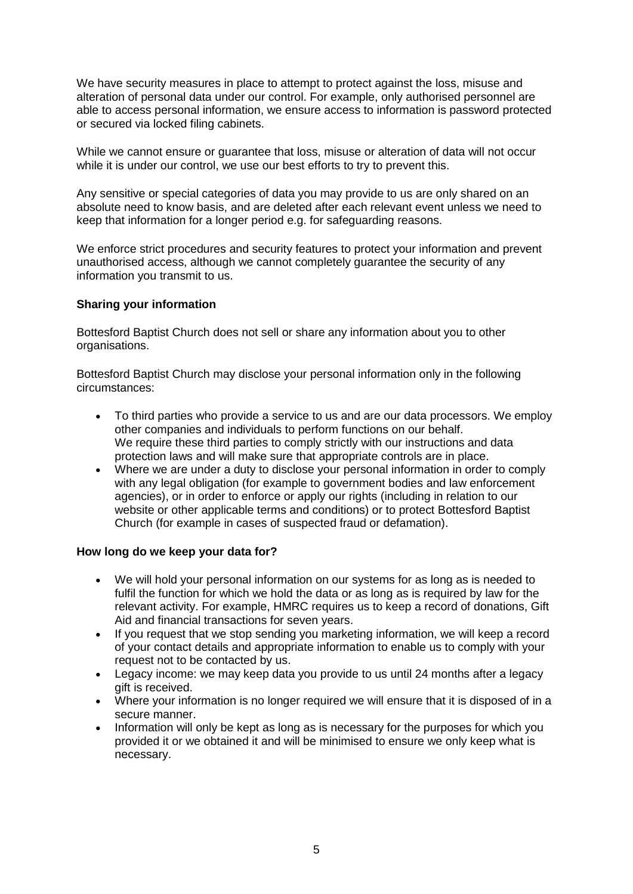We have security measures in place to attempt to protect against the loss, misuse and alteration of personal data under our control. For example, only authorised personnel are able to access personal information, we ensure access to information is password protected or secured via locked filing cabinets.

While we cannot ensure or guarantee that loss, misuse or alteration of data will not occur while it is under our control, we use our best efforts to try to prevent this.

Any sensitive or special categories of data you may provide to us are only shared on an absolute need to know basis, and are deleted after each relevant event unless we need to keep that information for a longer period e.g. for safeguarding reasons.

We enforce strict procedures and security features to protect your information and prevent unauthorised access, although we cannot completely guarantee the security of any information you transmit to us.

### **Sharing your information**

Bottesford Baptist Church does not sell or share any information about you to other organisations.

Bottesford Baptist Church may disclose your personal information only in the following circumstances:

- To third parties who provide a service to us and are our data processors. We employ other companies and individuals to perform functions on our behalf. We require these third parties to comply strictly with our instructions and data protection laws and will make sure that appropriate controls are in place.
- Where we are under a duty to disclose your personal information in order to comply with any legal obligation (for example to government bodies and law enforcement agencies), or in order to enforce or apply our rights (including in relation to our website or other applicable terms and conditions) or to protect Bottesford Baptist Church (for example in cases of suspected fraud or defamation).

#### **How long do we keep your data for?**

- We will hold your personal information on our systems for as long as is needed to fulfil the function for which we hold the data or as long as is required by law for the relevant activity. For example, HMRC requires us to keep a record of donations, Gift Aid and financial transactions for seven years.
- If you request that we stop sending you marketing information, we will keep a record of your contact details and appropriate information to enable us to comply with your request not to be contacted by us.
- Legacy income: we may keep data you provide to us until 24 months after a legacy gift is received.
- Where your information is no longer required we will ensure that it is disposed of in a secure manner.
- Information will only be kept as long as is necessary for the purposes for which you provided it or we obtained it and will be minimised to ensure we only keep what is necessary.